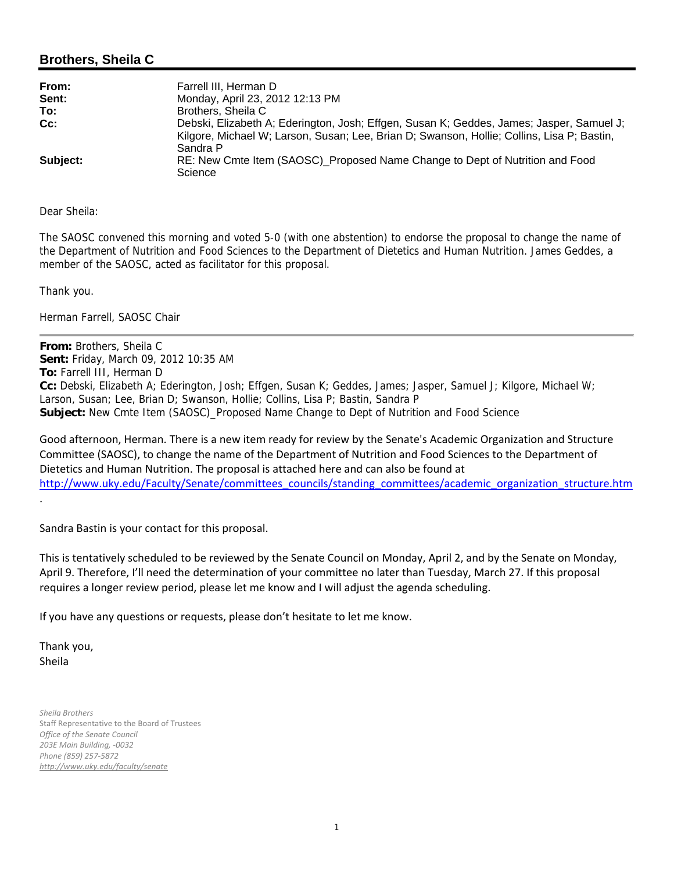## **Brothers, Sheila C**

| From:    | Farrell III, Herman D                                                                      |
|----------|--------------------------------------------------------------------------------------------|
| Sent:    | Monday, April 23, 2012 12:13 PM                                                            |
| To:      | Brothers, Sheila C                                                                         |
| Cc:      | Debski, Elizabeth A; Ederington, Josh; Effgen, Susan K; Geddes, James; Jasper, Samuel J;   |
|          | Kilgore, Michael W; Larson, Susan; Lee, Brian D; Swanson, Hollie; Collins, Lisa P; Bastin, |
|          | Sandra P                                                                                   |
| Subject: | RE: New Cmte Item (SAOSC) Proposed Name Change to Dept of Nutrition and Food<br>Science    |

Dear Sheila:

The SAOSC convened this morning and voted 5-0 (with one abstention) to endorse the proposal to change the name of the Department of Nutrition and Food Sciences to the Department of Dietetics and Human Nutrition. James Geddes, a member of the SAOSC, acted as facilitator for this proposal.

Thank you.

Herman Farrell, SAOSC Chair

**From:** Brothers, Sheila C **Sent:** Friday, March 09, 2012 10:35 AM **To:** Farrell III, Herman D **Cc:** Debski, Elizabeth A; Ederington, Josh; Effgen, Susan K; Geddes, James; Jasper, Samuel J; Kilgore, Michael W; Larson, Susan; Lee, Brian D; Swanson, Hollie; Collins, Lisa P; Bastin, Sandra P **Subject:** New Cmte Item (SAOSC)\_Proposed Name Change to Dept of Nutrition and Food Science

Good afternoon, Herman. There is a new item ready for review by the Senate's Academic Organization and Structure Committee (SAOSC), to change the name of the Department of Nutrition and Food Sciences to the Department of Dietetics and Human Nutrition. The proposal is attached here and can also be found at http://www.uky.edu/Faculty/Senate/committees\_councils/standing\_committees/academic\_organization\_structure.htm

Sandra Bastin is your contact for this proposal.

This is tentatively scheduled to be reviewed by the Senate Council on Monday, April 2, and by the Senate on Monday, April 9. Therefore, I'll need the determination of your committee no later than Tuesday, March 27. If this proposal requires a longer review period, please let me know and I will adjust the agenda scheduling.

If you have any questions or requests, please don't hesitate to let me know.

Thank you, Sheila

.

*Sheila Brothers* Staff Representative to the Board of Trustees *Office of the Senate Council 203E Main Building, ‐0032 Phone (859) 257‐5872 http://www.uky.edu/faculty/senate*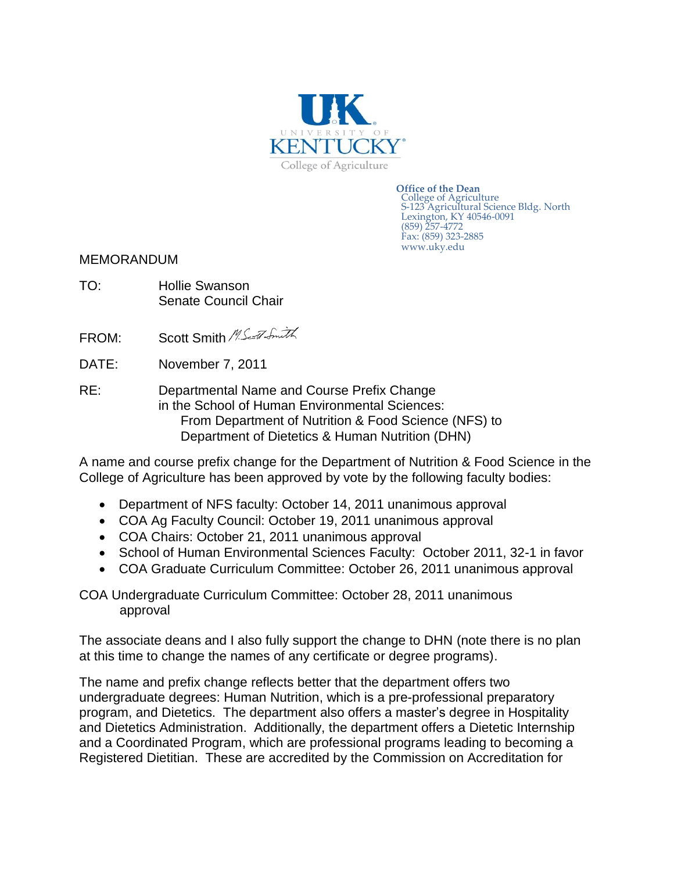

**Office of the Dean** College of Agriculture S-123 Agricultural Science Bldg. North Lexington, KY 40546-0091 (859) 257-4772 Fax: (859) 323-2885 www.uky.edu

MEMORANDUM

- TO: Hollie Swanson Senate Council Chair
- FROM: Scott Smith M.Seat Smith
- DATE: November 7, 2011
- RE: Departmental Name and Course Prefix Change in the School of Human Environmental Sciences: From Department of Nutrition & Food Science (NFS) to Department of Dietetics & Human Nutrition (DHN)

A name and course prefix change for the Department of Nutrition & Food Science in the College of Agriculture has been approved by vote by the following faculty bodies:

- Department of NFS faculty: October 14, 2011 unanimous approval
- COA Ag Faculty Council: October 19, 2011 unanimous approval
- COA Chairs: October 21, 2011 unanimous approval
- School of Human Environmental Sciences Faculty: October 2011, 32-1 in favor
- COA Graduate Curriculum Committee: October 26, 2011 unanimous approval

COA Undergraduate Curriculum Committee: October 28, 2011 unanimous approval

The associate deans and I also fully support the change to DHN (note there is no plan at this time to change the names of any certificate or degree programs).

The name and prefix change reflects better that the department offers two undergraduate degrees: Human Nutrition, which is a pre-professional preparatory program, and Dietetics. The department also offers a master's degree in Hospitality and Dietetics Administration. Additionally, the department offers a Dietetic Internship and a Coordinated Program, which are professional programs leading to becoming a Registered Dietitian. These are accredited by the Commission on Accreditation for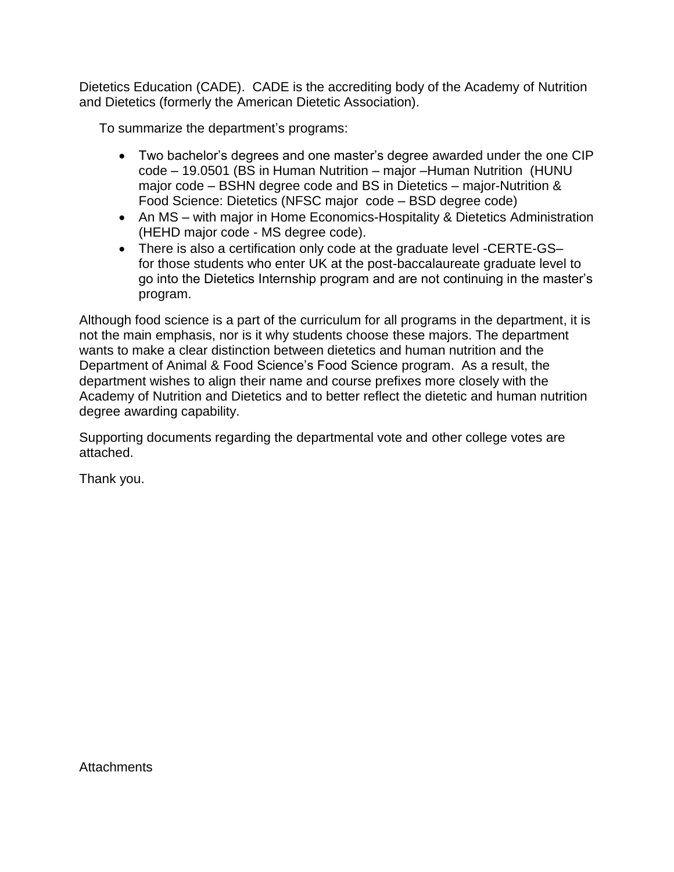Dietetics Education (CADE). CADE is the accrediting body of the Academy of Nutrition and Dietetics (formerly the American Dietetic Association).

To summarize the department's programs:

- Two bachelor's degrees and one master's degree awarded under the one CIP code – 19.0501 (BS in Human Nutrition – major –Human Nutrition (HUNU major code – BSHN degree code and BS in Dietetics – major-Nutrition & Food Science: Dietetics (NFSC major code – BSD degree code)
- An MS with major in Home Economics-Hospitality & Dietetics Administration (HEHD major code - MS degree code).
- There is also a certification only code at the graduate level -CERTE-GSfor those students who enter UK at the post-baccalaureate graduate level to go into the Dietetics Internship program and are not continuing in the master's program.

Although food science is a part of the curriculum for all programs in the department, it is not the main emphasis, nor is it why students choose these majors. The department wants to make a clear distinction between dietetics and human nutrition and the Department of Animal & Food Science's Food Science program. As a result, the department wishes to align their name and course prefixes more closely with the Academy of Nutrition and Dietetics and to better reflect the dietetic and human nutrition degree awarding capability.

Supporting documents regarding the departmental vote and other college votes are attached.

Thank you.

Attachments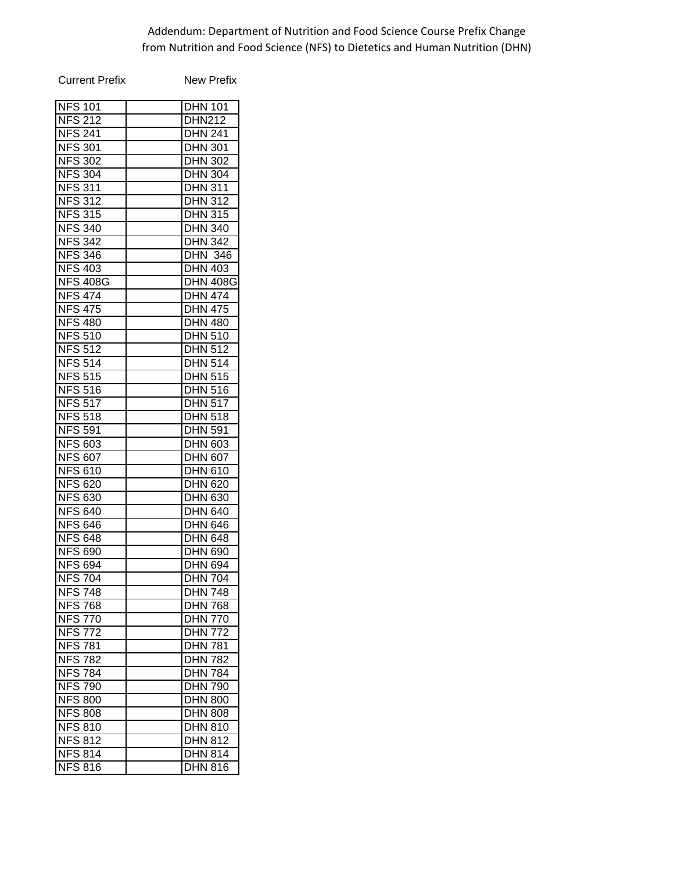## Addendum: Department of Nutrition and Food Science Course Prefix Change from Nutrition and Food Science (NFS) to Dietetics and Human Nutrition (DHN)

| <b>Current Prefix</b> | New Prefix      |
|-----------------------|-----------------|
| <b>NFS 101</b>        | <b>DHN 101</b>  |
| <b>NFS 212</b>        | <b>DHN212</b>   |
| <b>NFS 241</b>        | <b>DHN 241</b>  |
| <b>NFS 301</b>        | <b>DHN 301</b>  |
| <b>NFS 302</b>        | <b>DHN 302</b>  |
| <b>NFS 304</b>        | <b>DHN 304</b>  |
| <b>NFS 311</b>        | <b>DHN 311</b>  |
|                       | <b>DHN 312</b>  |
| <b>NFS 312</b>        |                 |
| <b>NFS 315</b>        | <b>DHN 315</b>  |
| <b>NFS 340</b>        | <b>DHN 340</b>  |
| <b>NFS 342</b>        | <b>DHN 342</b>  |
| <b>NFS 346</b>        | <b>DHN 346</b>  |
| <b>NFS 403</b>        | <b>DHN 403</b>  |
| <b>NFS 408G</b>       | <b>DHN 408G</b> |
| <b>NFS 474</b>        | <b>DHN 474</b>  |
| <b>NFS 475</b>        | <b>DHN 475</b>  |
| <b>NFS 480</b>        | <b>DHN 480</b>  |
| <b>NFS 510</b>        | <b>DHN 510</b>  |
| <b>NFS 512</b>        | <b>DHN 512</b>  |
| <b>NFS 514</b>        | <b>DHN 514</b>  |
| <b>NFS 515</b>        | <b>DHN 515</b>  |
| <b>NFS 516</b>        | <b>DHN 516</b>  |
| <b>NFS 517</b>        | <b>DHN 517</b>  |
| <b>NFS 518</b>        | <b>DHN 518</b>  |
| <b>NFS 591</b>        | <b>DHN 591</b>  |
| <b>NFS 603</b>        | DHN 603         |
| <b>NFS 607</b>        | <b>DHN 607</b>  |
| <b>NFS 610</b>        | <b>DHN 610</b>  |
| <b>NFS 620</b>        | <b>DHN 620</b>  |
| <b>NFS 630</b>        | <b>DHN 630</b>  |
| <b>NFS 640</b>        | <b>DHN 640</b>  |
| <b>NFS 646</b>        | <b>DHN 646</b>  |
| <b>NFS 648</b>        | <b>DHN 648</b>  |
| <b>NFS 690</b>        | <b>DHN 690</b>  |
| <b>NFS 694</b>        | <b>DHN 694</b>  |
| <b>NFS 704</b>        | <b>DHN 704</b>  |
| <b>NFS 748</b>        | <b>DHN 748</b>  |
| <b>NFS 768</b>        | <b>DHN 768</b>  |
| <b>NFS</b><br>770     | <b>DHN 770</b>  |
| <b>NFS 772</b>        | <b>DHN 772</b>  |
| <b>NFS 781</b>        | <b>DHN 781</b>  |
| <b>NFS</b>            | <b>DHN 782</b>  |
| 782<br><b>NFS</b>     |                 |
| 784                   | <b>DHN 784</b>  |
| <b>NFS 790</b>        | <b>DHN 790</b>  |
| <b>NFS 800</b>        | <b>DHN 800</b>  |
| <b>NFS 808</b>        | <b>DHN 808</b>  |
| <b>NFS 810</b>        | <b>DHN 810</b>  |
| <b>NFS 812</b>        | <b>DHN 812</b>  |
| <b>NFS 814</b>        | <b>DHN 814</b>  |
| <b>NFS 816</b>        | <b>DHN 816</b>  |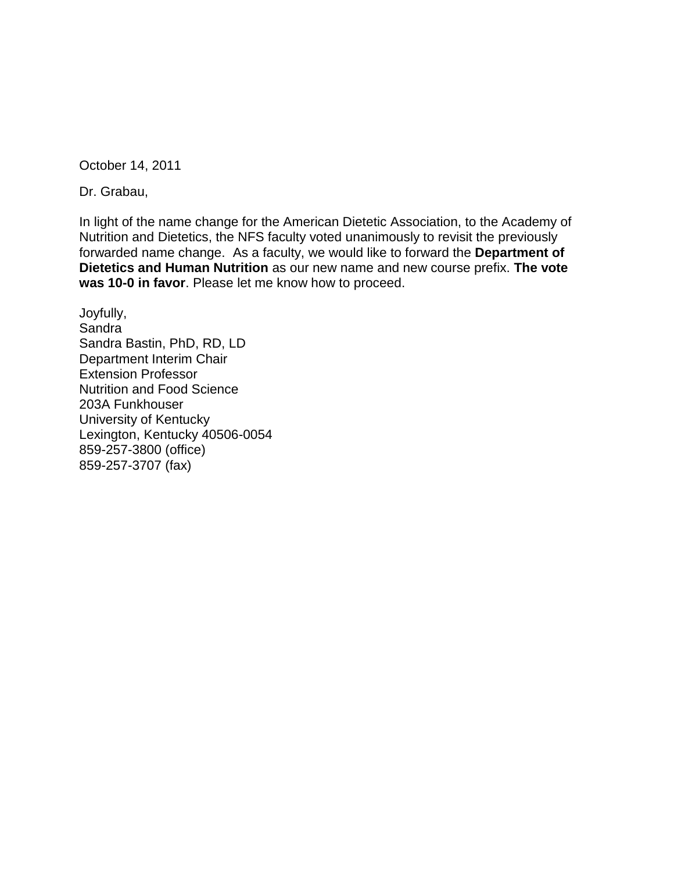October 14, 2011

Dr. Grabau,

In light of the name change for the American Dietetic Association, to the Academy of Nutrition and Dietetics, the NFS faculty voted unanimously to revisit the previously forwarded name change. As a faculty, we would like to forward the **Department of Dietetics and Human Nutrition** as our new name and new course prefix. **The vote was 10-0 in favor**. Please let me know how to proceed.

Joyfully, **Sandra** Sandra Bastin, PhD, RD, LD Department Interim Chair Extension Professor Nutrition and Food Science 203A Funkhouser University of Kentucky Lexington, Kentucky 40506-0054 859-257-3800 (office) 859-257-3707 (fax)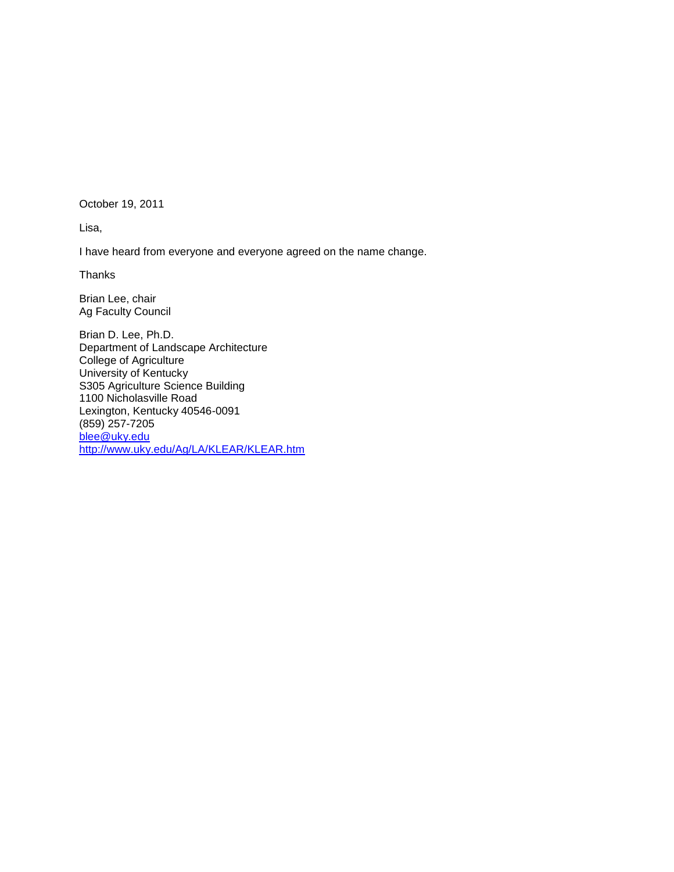October 19, 2011

Lisa,

I have heard from everyone and everyone agreed on the name change.

Thanks

Brian Lee, chair Ag Faculty Council

Brian D. Lee, Ph.D. Department of Landscape Architecture College of Agriculture University of Kentucky S305 Agriculture Science Building 1100 Nicholasville Road Lexington, Kentucky 40546-0091 (859) 257-7205 [blee@uky.edu](mailto:blee@uky.edu) <http://www.uky.edu/Ag/LA/KLEAR/KLEAR.htm>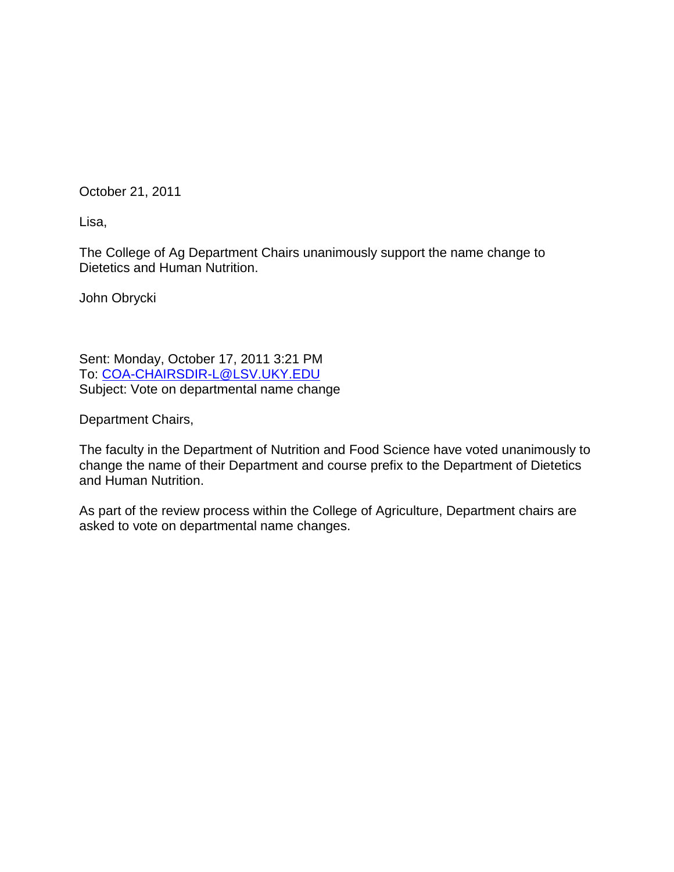October 21, 2011

Lisa,

The College of Ag Department Chairs unanimously support the name change to Dietetics and Human Nutrition.

John Obrycki

Sent: Monday, October 17, 2011 3:21 PM To: [COA-CHAIRSDIR-L@LSV.UKY.EDU](mailto:COA-CHAIRSDIR-L@LSV.UKY.EDU) Subject: Vote on departmental name change

Department Chairs,

The faculty in the Department of Nutrition and Food Science have voted unanimously to change the name of their Department and course prefix to the Department of Dietetics and Human Nutrition.

As part of the review process within the College of Agriculture, Department chairs are asked to vote on departmental name changes.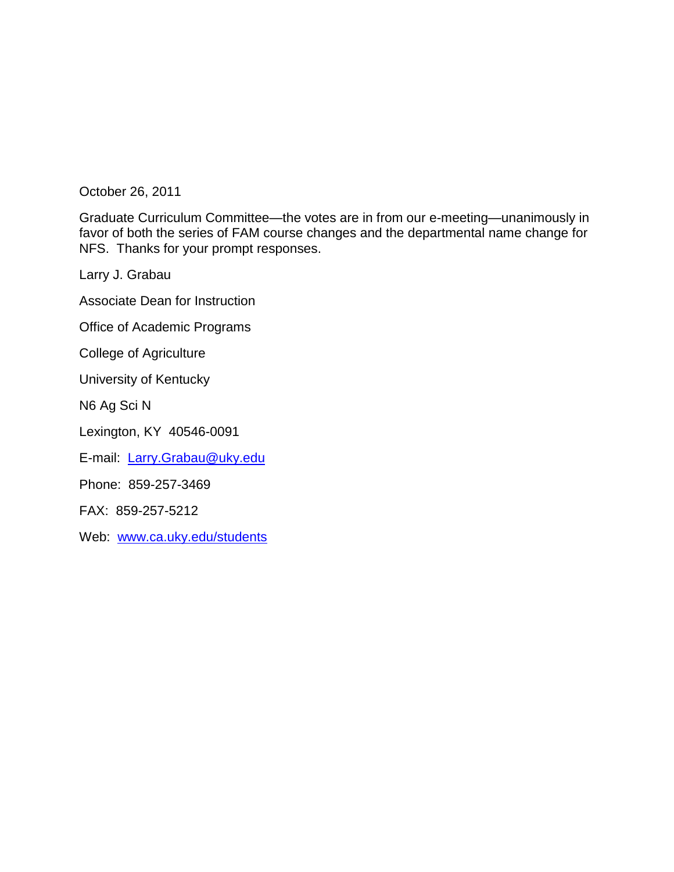October 26, 2011

Graduate Curriculum Committee—the votes are in from our e-meeting—unanimously in favor of both the series of FAM course changes and the departmental name change for NFS. Thanks for your prompt responses.

Larry J. Grabau

Associate Dean for Instruction

Office of Academic Programs

College of Agriculture

University of Kentucky

N6 Ag Sci N

Lexington, KY 40546-0091

E-mail: [Larry.Grabau@uky.edu](mailto:Larry.Grabau@uky.edu)

Phone: 859-257-3469

FAX: 859-257-5212

Web: [www.ca.uky.edu/students](http://www.ca.uky.edu/students)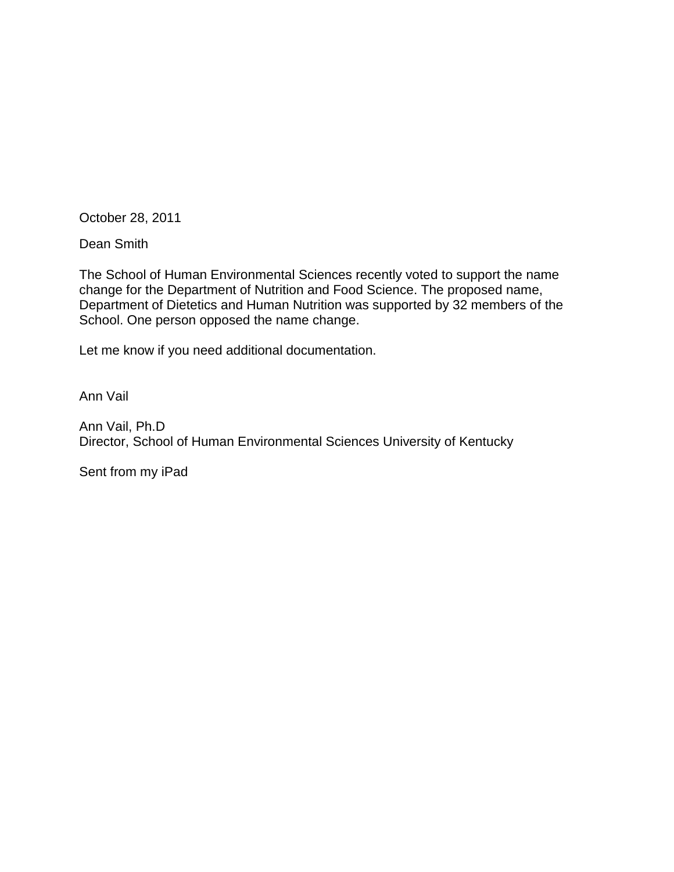October 28, 2011

Dean Smith

The School of Human Environmental Sciences recently voted to support the name change for the Department of Nutrition and Food Science. The proposed name, Department of Dietetics and Human Nutrition was supported by 32 members of the School. One person opposed the name change.

Let me know if you need additional documentation.

Ann Vail

Ann Vail, Ph.D Director, School of Human Environmental Sciences University of Kentucky

Sent from my iPad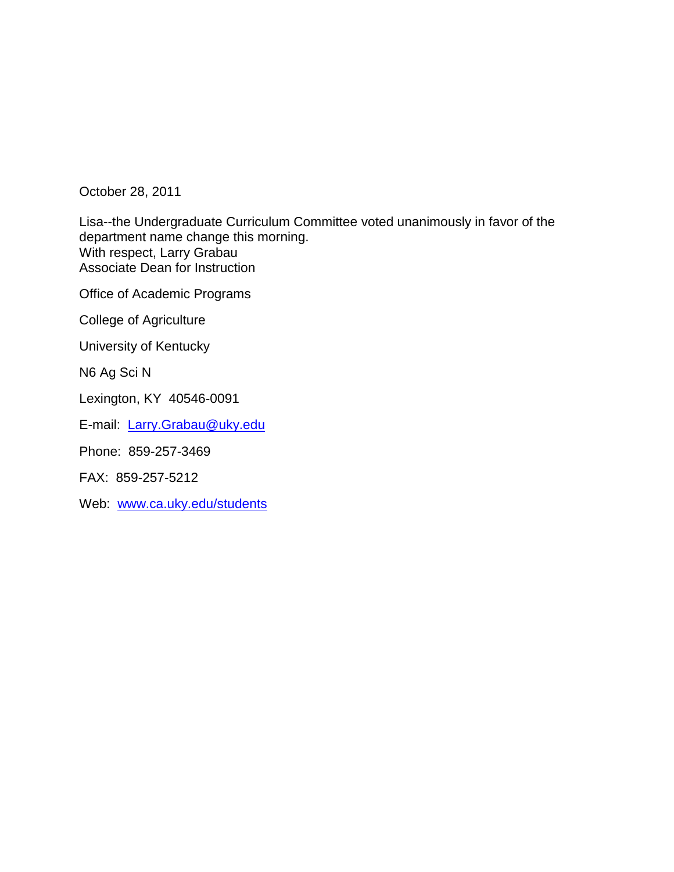October 28, 2011

Lisa--the Undergraduate Curriculum Committee voted unanimously in favor of the department name change this morning. With respect, Larry Grabau Associate Dean for Instruction

Office of Academic Programs

College of Agriculture

University of Kentucky

N6 Ag Sci N

Lexington, KY 40546-0091

E-mail: [Larry.Grabau@uky.edu](mailto:Larry.Grabau@uky.edu)

Phone: 859-257-3469

FAX: 859-257-5212

Web: [www.ca.uky.edu/students](http://www.ca.uky.edu/students)